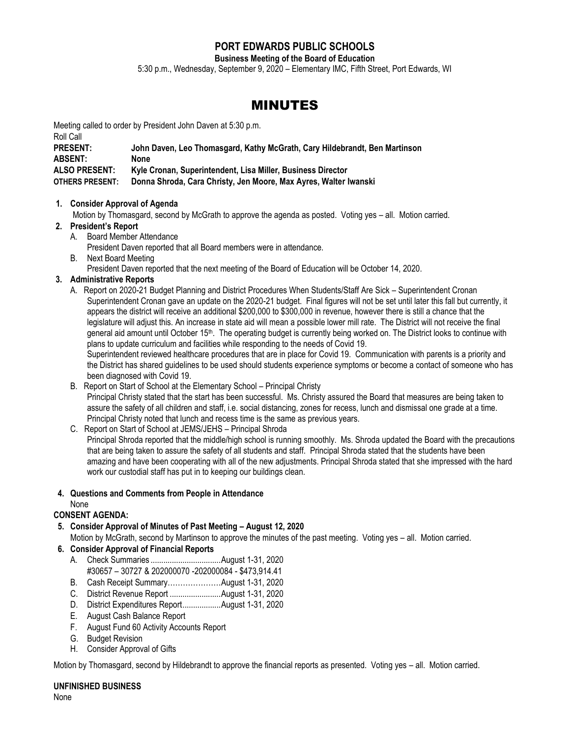# **PORT EDWARDS PUBLIC SCHOOLS**

**Business Meeting of the Board of Education**

5:30 p.m., Wednesday, September 9, 2020 – Elementary IMC, Fifth Street, Port Edwards, WI

# MINUTES

Meeting called to order by President John Daven at 5:30 p.m.

Roll Call **PRESENT: John Daven, Leo Thomasgard, Kathy McGrath, Cary Hildebrandt, Ben Martinson ABSENT: None ALSO PRESENT: Kyle Cronan, Superintendent, Lisa Miller, Business Director OTHERS PRESENT: Donna Shroda, Cara Christy, Jen Moore, Max Ayres, Walter Iwanski**

# **1. Consider Approval of Agenda**

Motion by Thomasgard, second by McGrath to approve the agenda as posted. Voting yes – all. Motion carried.

# **2. President's Report**

A. Board Member Attendance

President Daven reported that all Board members were in attendance.

B. Next Board Meeting

President Daven reported that the next meeting of the Board of Education will be October 14, 2020.

# **3. Administrative Reports**

A. Report on 2020-21 Budget Planning and District Procedures When Students/Staff Are Sick – Superintendent Cronan Superintendent Cronan gave an update on the 2020-21 budget. Final figures will not be set until later this fall but currently, it appears the district will receive an additional \$200,000 to \$300,000 in revenue, however there is still a chance that the legislature will adjust this. An increase in state aid will mean a possible lower mill rate. The District will not receive the final general aid amount until October 15<sup>th</sup>. The operating budget is currently being worked on. The District looks to continue with plans to update curriculum and facilities while responding to the needs of Covid 19.

Superintendent reviewed healthcare procedures that are in place for Covid 19. Communication with parents is a priority and the District has shared guidelines to be used should students experience symptoms or become a contact of someone who has been diagnosed with Covid 19.

- B. Report on Start of School at the Elementary School Principal Christy Principal Christy stated that the start has been successful. Ms. Christy assured the Board that measures are being taken to assure the safety of all children and staff, i.e. social distancing, zones for recess, lunch and dismissal one grade at a time. Principal Christy noted that lunch and recess time is the same as previous years.
- C. Report on Start of School at JEMS/JEHS Principal Shroda

Principal Shroda reported that the middle/high school is running smoothly. Ms. Shroda updated the Board with the precautions that are being taken to assure the safety of all students and staff. Principal Shroda stated that the students have been amazing and have been cooperating with all of the new adjustments. Principal Shroda stated that she impressed with the hard work our custodial staff has put in to keeping our buildings clean.

# **4. Questions and Comments from People in Attendance**

# None

# **CONSENT AGENDA:**

- **5. Consider Approval of Minutes of Past Meeting – August 12, 2020** Motion by McGrath, second by Martinson to approve the minutes of the past meeting. Voting yes – all. Motion carried.
- **6. Consider Approval of Financial Reports**
	- A. Check Summaries .................................August 1-31, 2020 #30657 – 30727 & 202000070 -202000084 - \$473,914.41
	- B. Cash Receipt Summary…………………August 1-31, 2020
	- C. District Revenue Report ........................August 1-31, 2020
	- D. District Expenditures Report..................August 1-31, 2020
	- E. August Cash Balance Report
	- F. August Fund 60 Activity Accounts Report
	- G. Budget Revision
	- H. Consider Approval of Gifts

Motion by Thomasgard, second by Hildebrandt to approve the financial reports as presented. Voting yes – all. Motion carried.

# **UNFINISHED BUSINESS**

None